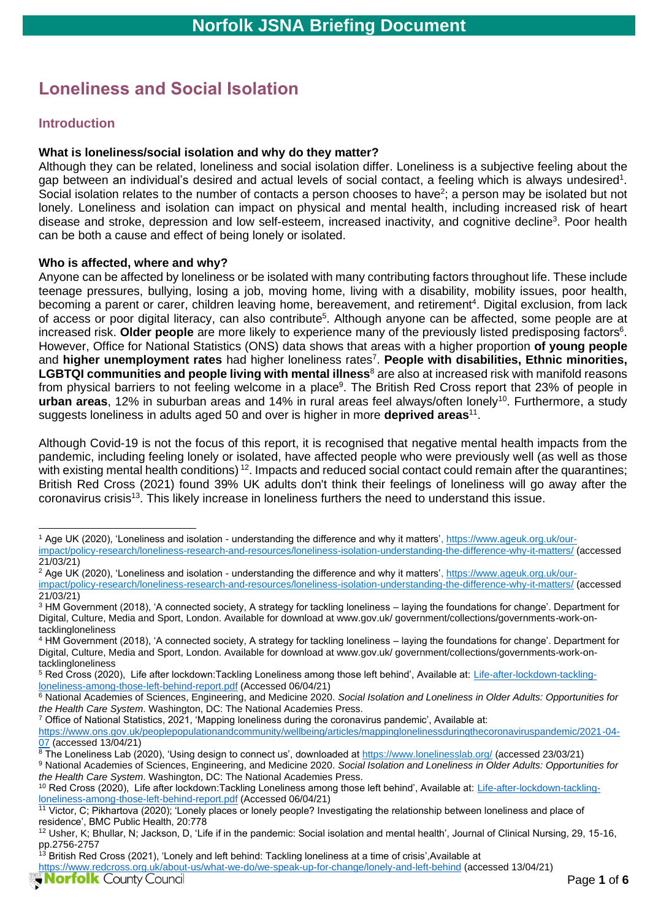# **Loneliness and Social Isolation**

### **Introduction**

#### **What is loneliness/social isolation and why do they matter?**

Although they can be related, loneliness and social isolation differ. Loneliness is a subjective feeling about the gap between an individual's desired and actual levels of social contact, a feeling which is always undesired<sup>1</sup>. Social isolation relates to the number of contacts a person chooses to have<sup>2</sup>; a person may be isolated but not lonely. Loneliness and isolation can impact on physical and mental health, including increased risk of heart disease and stroke, depression and low self-esteem, increased inactivity, and cognitive decline<sup>3</sup>. Poor health can be both a cause and effect of being lonely or isolated.

#### **Who is affected, where and why?**

Anyone can be affected by loneliness or be isolated with many contributing factors throughout life. These include teenage pressures, bullying, losing a job, moving home, living with a disability, mobility issues, poor health, becoming a parent or carer, children leaving home, bereavement, and retirement<sup>4</sup>. Digital exclusion, from lack of access or poor digital literacy, can also contribute<sup>5</sup>. Although anyone can be affected, some people are at increased risk. Older people are more likely to experience many of the previously listed predisposing factors<sup>6</sup>. However, Office for National Statistics (ONS) data shows that areas with a higher proportion **of young people** and **higher unemployment rates** had higher loneliness rates<sup>7</sup> . **People with disabilities, Ethnic minorities, LGBTQI communities and people living with mental illness<sup>8</sup> are also at increased risk with manifold reasons** from physical barriers to not feeling welcome in a place<sup>9</sup>. The British Red Cross report that 23% of people in **urban areas**, 12% in suburban areas and 14% in rural areas feel always/often lonely<sup>10</sup>. Furthermore, a study suggests loneliness in adults aged 50 and over is higher in more **deprived areas**<sup>11</sup> .

Although Covid-19 is not the focus of this report, it is recognised that negative mental health impacts from the pandemic, including feeling lonely or isolated, have affected people who were previously well (as well as those with existing mental health conditions)<sup>12</sup>. Impacts and reduced social contact could remain after the quarantines; British Red Cross (2021) found 39% UK adults don't think their feelings of loneliness will go away after the coronavirus crisis<sup>13</sup>. This likely increase in loneliness furthers the need to understand this issue.

<sup>7</sup> Office of National Statistics, 2021, 'Mapping loneliness during the coronavirus pandemic', Available at:

[https://www.ons.gov.uk/peoplepopulationandcommunity/wellbeing/articles/mappinglonelinessduringthecoronaviruspandemic/2021-04-](https://www.ons.gov.uk/peoplepopulationandcommunity/wellbeing/articles/mappinglonelinessduringthecoronaviruspandemic/2021-04-07) [07](https://www.ons.gov.uk/peoplepopulationandcommunity/wellbeing/articles/mappinglonelinessduringthecoronaviruspandemic/2021-04-07) (accessed 13/04/21)

<sup>&</sup>lt;sup>1</sup> Age UK (2020), 'Loneliness and isolation - understanding the difference and why it matters'[, https://www.ageuk.org.uk/our](https://www.ageuk.org.uk/our-impact/policy-research/loneliness-research-and-resources/loneliness-isolation-understanding-the-difference-why-it-matters/)[impact/policy-research/loneliness-research-and-resources/loneliness-isolation-understanding-the-difference-why-it-matters/](https://www.ageuk.org.uk/our-impact/policy-research/loneliness-research-and-resources/loneliness-isolation-understanding-the-difference-why-it-matters/) (accessed 21/03/21)

<sup>&</sup>lt;sup>2</sup> Age UK (2020), 'Loneliness and isolation - understanding the difference and why it matters'[, https://www.ageuk.org.uk/our](https://www.ageuk.org.uk/our-impact/policy-research/loneliness-research-and-resources/loneliness-isolation-understanding-the-difference-why-it-matters/)[impact/policy-research/loneliness-research-and-resources/loneliness-isolation-understanding-the-difference-why-it-matters/](https://www.ageuk.org.uk/our-impact/policy-research/loneliness-research-and-resources/loneliness-isolation-understanding-the-difference-why-it-matters/) (accessed 21/03/21)

<sup>3</sup> HM Government (2018), 'A connected society, A strategy for tackling loneliness – laying the foundations for change'. Department for Digital, Culture, Media and Sport, London. Available for download at www.gov.uk/ government/collections/governments-work-ontacklingloneliness

<sup>4</sup> HM Government (2018), 'A connected society, A strategy for tackling loneliness – laying the foundations for change'. Department for Digital, Culture, Media and Sport, London. Available for download at www.gov.uk/ government/collections/governments-work-ontacklingloneliness

<sup>&</sup>lt;sup>5</sup> Red Cross (2020), Life after lockdown:Tackling Loneliness among those left behind', Available at: [Life-after-lockdown-tackling](file:///C:/Users/serena.burton2/Downloads/Life-after-lockdown-tackling-loneliness-among-those-left-behind-report.pdf)[loneliness-among-those-left-behind-report.pdf](file:///C:/Users/serena.burton2/Downloads/Life-after-lockdown-tackling-loneliness-among-those-left-behind-report.pdf) (Accessed 06/04/21)

<sup>6</sup> National Academies of Sciences, Engineering, and Medicine 2020. *Social Isolation and Loneliness in Older Adults: Opportunities for the Health Care System*. Washington, DC: The National Academies Press.

<sup>&</sup>lt;sup>8</sup> The Loneliness Lab (2020), 'Using design to connect us', downloaded a[t https://www.lonelinesslab.org/](https://www.lonelinesslab.org/) (accessed 23/03/21)

<sup>9</sup> National Academies of Sciences, Engineering, and Medicine 2020. *Social Isolation and Loneliness in Older Adults: Opportunities for the Health Care System*. Washington, DC: The National Academies Press.

<sup>10</sup> Red Cross (2020), Life after lockdown:Tackling Loneliness among those left behind', Available at: [Life-after-lockdown-tackling](file:///C:/Users/serena.burton2/Downloads/Life-after-lockdown-tackling-loneliness-among-those-left-behind-report.pdf)[loneliness-among-those-left-behind-report.pdf](file:///C:/Users/serena.burton2/Downloads/Life-after-lockdown-tackling-loneliness-among-those-left-behind-report.pdf) (Accessed 06/04/21)

<sup>11</sup> Victor, C; Pikhartova (2020); 'Lonely places or lonely people? Investigating the relationship between loneliness and place of residence', BMC Public Health, 20:778

<sup>&</sup>lt;sup>12</sup> Usher, K; Bhullar, N; Jackson, D, 'Life if in the pandemic: Social isolation and mental health', Journal of Clinical Nursing, 29, 15-16, pp.2756-2757

 $13$  British Red Cross (2021), 'Lonely and left behind: Tackling loneliness at a time of crisis',Available at <https://www.redcross.org.uk/about-us/what-we-do/we-speak-up-for-change/lonely-and-left-behind> (accessed 13/04/21)**Norfolk** County Council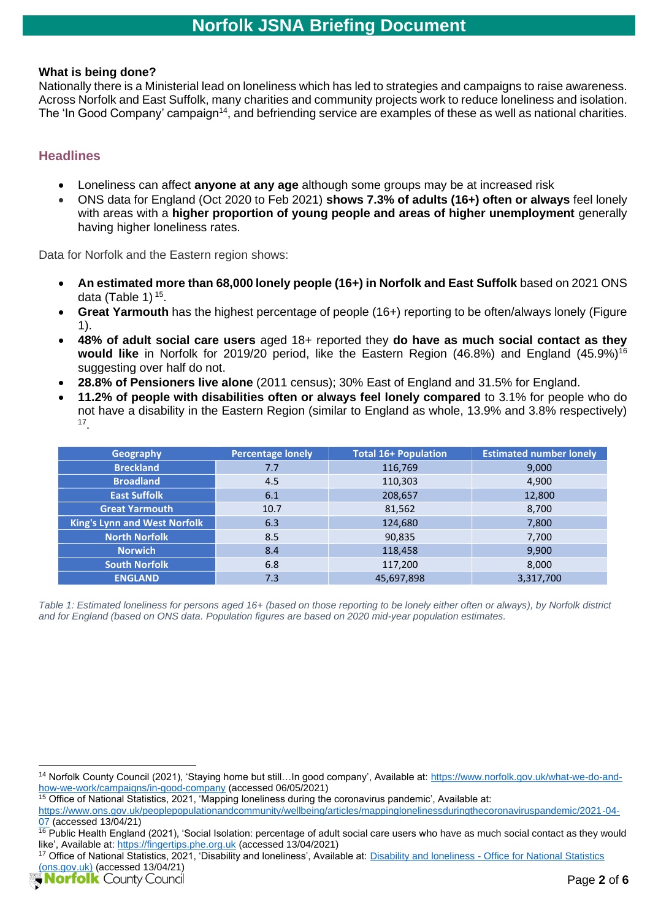#### **What is being done?**

Nationally there is a Ministerial lead on loneliness which has led to strategies and campaigns to raise awareness. Across Norfolk and East Suffolk, many charities and community projects work to reduce loneliness and isolation. The 'In Good Company' campaign<sup>14</sup>, and befriending service are examples of these as well as national charities.

#### **Headlines**

- Loneliness can affect **anyone at any age** although some groups may be at increased risk
- ONS data for England (Oct 2020 to Feb 2021) **shows 7.3% of adults (16+) often or always** feel lonely with areas with a **higher proportion of young people and areas of higher unemployment** generally having higher loneliness rates.

Data for Norfolk and the Eastern region shows:

- **An estimated more than 68,000 lonely people (16+) in Norfolk and East Suffolk** based on 2021 ONS data (Table 1) 15 .
- **Great Yarmouth** has the highest percentage of people (16+) reporting to be often/always lonely (Figure 1).
- **48% of adult social care users** aged 18+ reported they **do have as much social contact as they**  would like in Norfolk for 2019/20 period, like the Eastern Region (46.8%) and England (45.9%)<sup>16</sup> suggesting over half do not.
- **28.8% of Pensioners live alone** (2011 census); 30% East of England and 31.5% for England.
- **11.2% of people with disabilities often or always feel lonely compared** to 3.1% for people who do not have a disability in the Eastern Region (similar to England as whole, 13.9% and 3.8% respectively) 17 .

| Geography                           | <b>Percentage lonely</b> | <b>Total 16+ Population</b> | <b>Estimated number lonely</b> |
|-------------------------------------|--------------------------|-----------------------------|--------------------------------|
| <b>Breckland</b>                    | 7.7                      | 116,769                     | 9,000                          |
| <b>Broadland</b>                    | 4.5                      | 110,303                     | 4,900                          |
| <b>East Suffolk</b>                 | 6.1                      | 208,657                     | 12,800                         |
| <b>Great Yarmouth</b>               | 10.7                     | 81,562                      | 8,700                          |
| <b>King's Lynn and West Norfolk</b> | 6.3                      | 124,680                     | 7,800                          |
| <b>North Norfolk</b>                | 8.5                      | 90,835                      | 7,700                          |
| <b>Norwich</b>                      | 8.4                      | 118,458                     | 9,900                          |
| <b>South Norfolk</b>                | 6.8                      | 117,200                     | 8,000                          |
| <b>ENGLAND</b>                      | 7.3                      | 45,697,898                  | 3,317,700                      |

*Table 1: Estimated loneliness for persons aged 16+ (based on those reporting to be lonely either often or always), by Norfolk district and for England (based on ONS data. Population figures are based on 2020 mid-year population estimates.*

<sup>14</sup> Norfolk County Council (2021), 'Staying home but still…In good company', Available at: [https://www.norfolk.gov.uk/what-we-do-and](https://www.norfolk.gov.uk/what-we-do-and-how-we-work/campaigns/in-good-company)[how-we-work/campaigns/in-good-company](https://www.norfolk.gov.uk/what-we-do-and-how-we-work/campaigns/in-good-company) (accessed 06/05/2021)

 $15$  Office of National Statistics, 2021, 'Mapping loneliness during the coronavirus pandemic', Available at:

[https://www.ons.gov.uk/peoplepopulationandcommunity/wellbeing/articles/mappinglonelinessduringthecoronaviruspandemic/2021-04-](https://www.ons.gov.uk/peoplepopulationandcommunity/wellbeing/articles/mappinglonelinessduringthecoronaviruspandemic/2021-04-07) [07](https://www.ons.gov.uk/peoplepopulationandcommunity/wellbeing/articles/mappinglonelinessduringthecoronaviruspandemic/2021-04-07) (accessed 13/04/21)

<sup>&</sup>lt;sup>16</sup> Public Health England (2021), 'Social Isolation: percentage of adult social care users who have as much social contact as they would like', Available at[: https://fingertips.phe.org.uk](https://fingertips.phe.org.uk/) (accessed 13/04/2021)

<sup>17</sup> Office of National Statistics, 2021, 'Disability and loneliness', Available at: Disability and loneliness - [Office for National Statistics](https://www.ons.gov.uk/peoplepopulationandcommunity/healthandsocialcare/disability/datasets/disabilityandloneliness)  [\(ons.gov.uk\)](https://www.ons.gov.uk/peoplepopulationandcommunity/healthandsocialcare/disability/datasets/disabilityandloneliness) (accessed 13/04/21)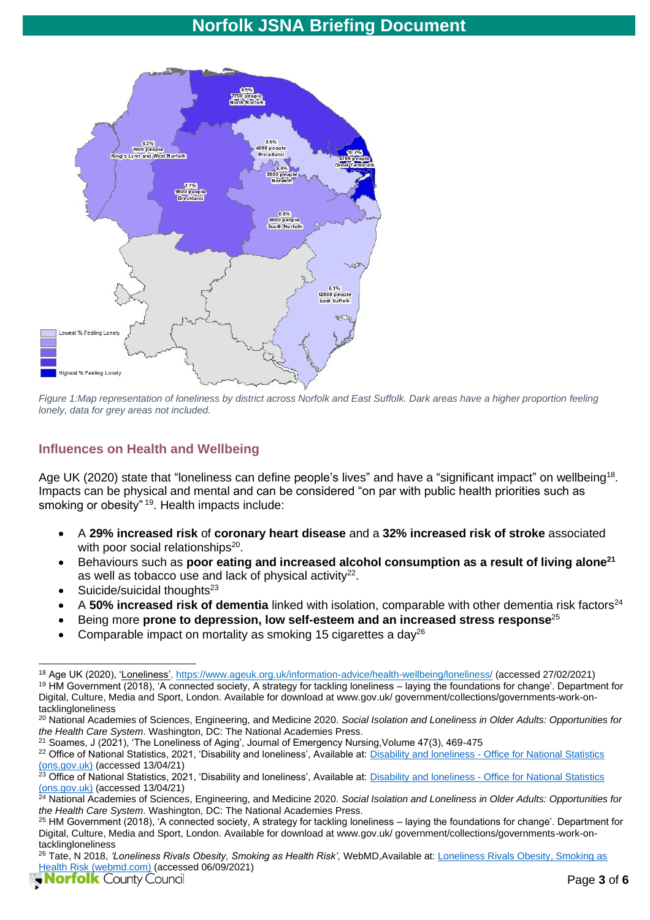

*Figure 1:Map representation of loneliness by district across Norfolk and East Suffolk. Dark areas have a higher proportion feeling lonely, data for grey areas not included.*

## **Influences on Health and Wellbeing**

Age UK (2020) state that "loneliness can define people's lives" and have a "significant impact" on wellbeing<sup>18</sup>. Impacts can be physical and mental and can be considered "on par with public health priorities such as smoking or obesity" <sup>19</sup>. Health impacts include:

- A **29% increased risk** of **coronary heart disease** and a **32% increased risk of stroke** associated with poor social relationships<sup>20</sup>.
- Behaviours such as **poor eating and increased alcohol consumption as a result of living alone<sup>21</sup>** as well as tobacco use and lack of physical activity<sup>22</sup>.
- Suicide/suicidal thoughts<sup>23</sup>
- A **50% increased risk of dementia** linked with isolation, comparable with other dementia risk factors<sup>24</sup>
- Being more **prone to depression, low self-esteem and an increased stress response**<sup>25</sup>
- Comparable impact on mortality as smoking 15 cigarettes a day<sup>26</sup>

<sup>21</sup> Soames, J (2021), 'The Loneliness of Aging', Journal of Emergency Nursing, Volume 47(3), 469-475

<sup>18</sup> Age UK (2020), ['Loneliness', https://www.ageuk.org.uk/information-advice/health-wellbeing/loneliness/](https://www.ageuk.org.uk/information-advice/health-wellbeing/loneliness/) (accessed 27/02/2021) <sup>19</sup> HM Government (2018), 'A connected society, A strategy for tackling loneliness – laying the foundations for change'. Department for Digital, Culture, Media and Sport, London. Available for download at www.gov.uk/ government/collections/governments-work-ontacklingloneliness

<sup>20</sup> National Academies of Sciences, Engineering, and Medicine 2020. *Social Isolation and Loneliness in Older Adults: Opportunities for the Health Care System*. Washington, DC: The National Academies Press.

<sup>&</sup>lt;sup>22</sup> Office of National Statistics, 2021, 'Disability and loneliness', Available at: Disability and loneliness - Office for National Statistics [\(ons.gov.uk\)](https://www.ons.gov.uk/peoplepopulationandcommunity/healthandsocialcare/disability/datasets/disabilityandloneliness) (accessed 13/04/21)

<sup>&</sup>lt;sup>23</sup> Office of National Statistics, 2021, 'Disability and loneliness', Available at: Disability and loneliness - Office for National Statistics [\(ons.gov.uk\)](https://www.ons.gov.uk/peoplepopulationandcommunity/healthandsocialcare/disability/datasets/disabilityandloneliness) (accessed 13/04/21)

<sup>24</sup> National Academies of Sciences, Engineering, and Medicine 2020. *Social Isolation and Loneliness in Older Adults: Opportunities for the Health Care System*. Washington, DC: The National Academies Press.

<sup>25</sup> HM Government (2018), 'A connected society, A strategy for tackling loneliness – laying the foundations for change'. Department for Digital, Culture, Media and Sport, London. Available for download at www.gov.uk/ government/collections/governments-work-ontacklingloneliness

<sup>26</sup> Tate, N 2018, *'Loneliness Rivals Obesity, Smoking as Health Risk',* WebMD,Available at: [Loneliness Rivals Obesity, Smoking as](https://www.webmd.com/balance/news/20180504/loneliness-rivals-obesity-smoking-as-health-risk)  [Health Risk \(webmd.com\)](https://www.webmd.com/balance/news/20180504/loneliness-rivals-obesity-smoking-as-health-risk) (accessed 06/09/2021)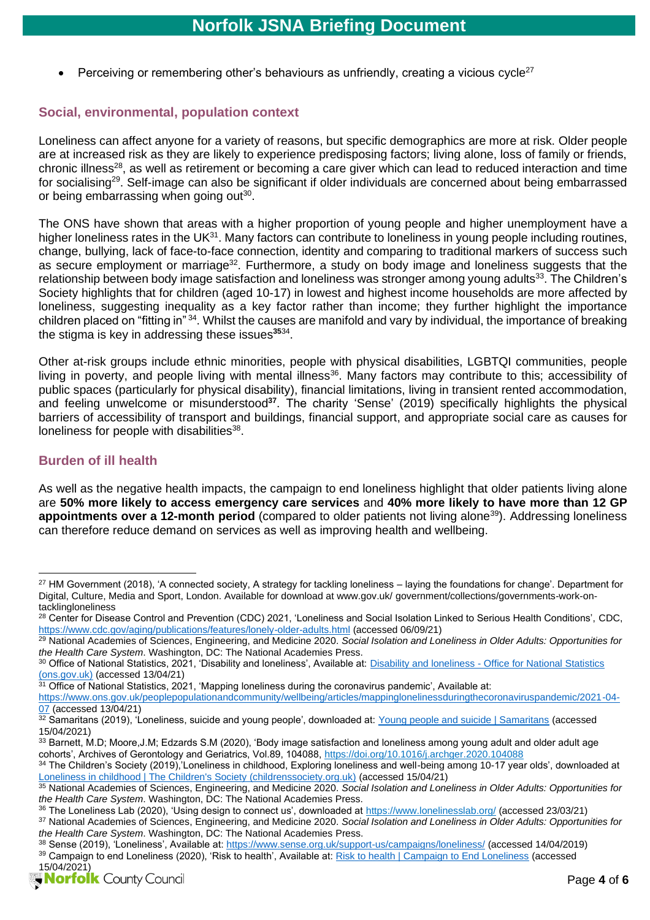Perceiving or remembering other's behaviours as unfriendly, creating a vicious cycle<sup>27</sup>

### **Social, environmental, population context**

Loneliness can affect anyone for a variety of reasons, but specific demographics are more at risk. Older people are at increased risk as they are likely to experience predisposing factors; living alone, loss of family or friends, chronic illness<sup>28</sup>, as well as retirement or becoming a care giver which can lead to reduced interaction and time for socialising<sup>29</sup>. Self-image can also be significant if older individuals are concerned about being embarrassed or being embarrassing when going out<sup>30</sup>.

The ONS have shown that areas with a higher proportion of young people and higher unemployment have a higher loneliness rates in the UK<sup>31</sup>. Many factors can contribute to loneliness in young people including routines, change, bullying, lack of face-to-face connection, identity and comparing to traditional markers of success such as secure employment or marriage<sup>32</sup>. Furthermore, a study on body image and loneliness suggests that the relationship between body image satisfaction and loneliness was stronger among young adults<sup>33</sup>. The Children's Society highlights that for children (aged 10-17) in lowest and highest income households are more affected by loneliness, suggesting inequality as a key factor rather than income; they further highlight the importance children placed on "fitting in" <sup>34</sup>. Whilst the causes are manifold and vary by individual, the importance of breaking the stigma is key in addressing these issues**<sup>35</sup>**[34](#page-3-0) .

<span id="page-3-0"></span>Other at-risk groups include ethnic minorities, people with physical disabilities, LGBTQI communities, people living in poverty, and people living with mental illness<sup>36</sup>. Many factors may contribute to this; accessibility of public spaces (particularly for physical disability), financial limitations, living in transient rented accommodation, and feeling unwelcome or misunderstood**<sup>37</sup>** . The charity 'Sense' (2019) specifically highlights the physical barriers of accessibility of transport and buildings, financial support, and appropriate social care as causes for loneliness for people with disabilities $^{38}$ .

#### **Burden of ill health**

As well as the negative health impacts, the campaign to end loneliness highlight that older patients living alone are **50% more likely to access emergency care services** and **40% more likely to have more than 12 GP appointments over a 12-month period** (compared to older patients not living alone<sup>39</sup>). Addressing loneliness can therefore reduce demand on services as well as improving health and wellbeing.

<sup>&</sup>lt;sup>27</sup> HM Government (2018), 'A connected society, A strategy for tackling loneliness – laying the foundations for change'. Department for Digital, Culture, Media and Sport, London. Available for download at www.gov.uk/ government/collections/governments-work-ontacklingloneliness

<sup>&</sup>lt;sup>28</sup> Center for Disease Control and Prevention (CDC) 2021, 'Loneliness and Social Isolation Linked to Serious Health Conditions', CDC, <https://www.cdc.gov/aging/publications/features/lonely-older-adults.html> (accessed 06/09/21)

<sup>29</sup> National Academies of Sciences, Engineering, and Medicine 2020. *Social Isolation and Loneliness in Older Adults: Opportunities for the Health Care System*. Washington, DC: The National Academies Press.

<sup>30</sup> Office of National Statistics, 2021, 'Disability and loneliness', Available at: Disability and loneliness - Office for National Statistics [\(ons.gov.uk\)](https://www.ons.gov.uk/peoplepopulationandcommunity/healthandsocialcare/disability/datasets/disabilityandloneliness) (accessed 13/04/21)

<sup>&</sup>lt;sup>31</sup> Office of National Statistics, 2021, 'Mapping loneliness during the coronavirus pandemic', Available at: [https://www.ons.gov.uk/peoplepopulationandcommunity/wellbeing/articles/mappinglonelinessduringthecoronaviruspandemic/2021-04-](https://www.ons.gov.uk/peoplepopulationandcommunity/wellbeing/articles/mappinglonelinessduringthecoronaviruspandemic/2021-04-07) [07](https://www.ons.gov.uk/peoplepopulationandcommunity/wellbeing/articles/mappinglonelinessduringthecoronaviruspandemic/2021-04-07) (accessed 13/04/21)

 $32$  Samaritans (2019), 'Loneliness, suicide and young people', downloaded at: [Young people and suicide | Samaritans](https://www.samaritans.org/about-samaritans/research-policy/young-people-suicide/) (accessed 15/04/2021)

<sup>33</sup> Barnett, M.D; Moore, J.M; Edzards S.M (2020), 'Body image satisfaction and loneliness among young adult and older adult age cohorts', Archives of Gerontology and Geriatrics, Vol.89, 104088,<https://doi.org/10.1016/j.archger.2020.104088>

<sup>34</sup> The Children's Society (2019), Loneliness in childhood, Exploring loneliness and well-being among 10-17 year olds', downloaded at [Loneliness in childhood | The Children's Society \(childrenssociety.org.uk\)](https://www.childrenssociety.org.uk/information/professionals/resources/loneliness-in-childhood) (accessed 15/04/21)

<sup>35</sup> National Academies of Sciences, Engineering, and Medicine 2020. *Social Isolation and Loneliness in Older Adults: Opportunities for the Health Care System*. Washington, DC: The National Academies Press.

<sup>36</sup> The Loneliness Lab (2020), 'Using design to connect us', downloaded at<https://www.lonelinesslab.org/> (accessed 23/03/21)

<sup>37</sup> National Academies of Sciences, Engineering, and Medicine 2020. *Social Isolation and Loneliness in Older Adults: Opportunities for the Health Care System*. Washington, DC: The National Academies Press.

<sup>38</sup> Sense (2019), 'Loneliness', Available at:<https://www.sense.org.uk/support-us/campaigns/loneliness/> (accessed 14/04/2019) 39 Campaign to end Loneliness (2020), 'Risk to health', Available at: [Risk to health | Campaign to End Loneliness](https://www.campaigntoendloneliness.org/threat-to-health/) (accessed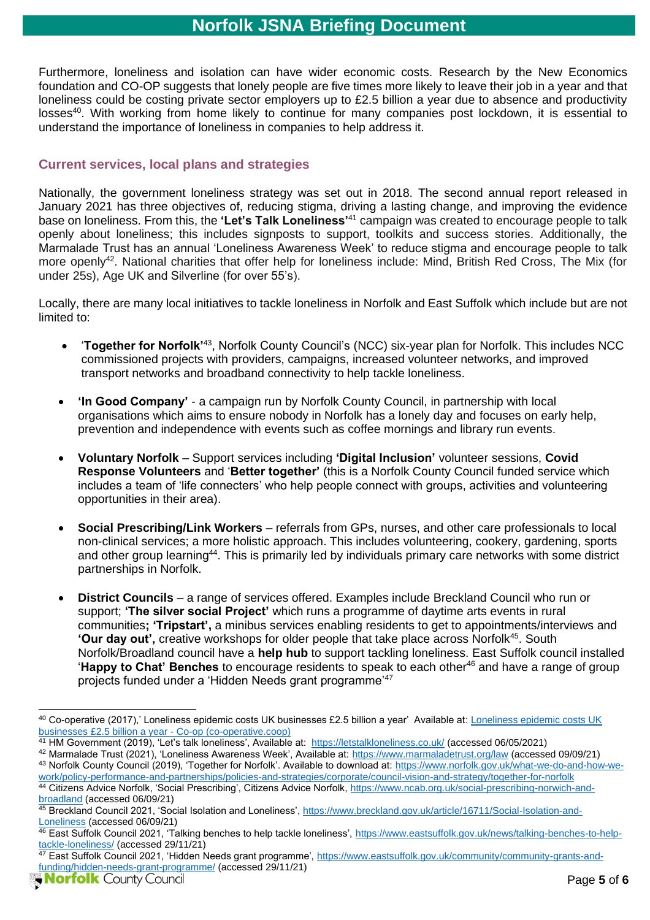Furthermore, loneliness and isolation can have wider economic costs. Research by the New Economics foundation and CO-OP suggests that lonely people are five times more likely to leave their job in a year and that loneliness could be costing private sector employers up to £2.5 billion a year due to absence and productivity losses<sup>40</sup>. With working from home likely to continue for many companies post lockdown, it is essential to understand the importance of loneliness in companies to help address it.

### **Current services, local plans and strategies**

Nationally, the government loneliness strategy was set out in 2018. The second annual report released in January 2021 has three objectives of, reducing stigma, driving a lasting change, and improving the evidence base on loneliness. From this, the **'Let's Talk Loneliness'**<sup>41</sup> campaign was created to encourage people to talk openly about loneliness; this includes signposts to support, toolkits and success stories. Additionally, the Marmalade Trust has an annual 'Loneliness Awareness Week' to reduce stigma and encourage people to talk more openly<sup>42</sup>. National charities that offer help for loneliness include: Mind, British Red Cross, The Mix (for under 25s), Age UK and Silverline (for over 55's).

Locally, there are many local initiatives to tackle loneliness in Norfolk and East Suffolk which include but are not limited to:

- **Together for Norfolk**<sup>143</sup>, Norfolk County Council's (NCC) six-year plan for Norfolk. This includes NCC commissioned projects with providers, campaigns, increased volunteer networks, and improved transport networks and broadband connectivity to help tackle loneliness.
- **'In Good Company'** a campaign run by Norfolk County Council, in partnership with local organisations which aims to ensure nobody in Norfolk has a lonely day and focuses on early help, prevention and independence with events such as coffee mornings and library run events.
- **Voluntary Norfolk**  Support services including **'Digital Inclusion'** volunteer sessions, **Covid Response Volunteers** and '**Better together'** (this is a Norfolk County Council funded service which includes a team of 'life connecters' who help people connect with groups, activities and volunteering opportunities in their area).
- **Social Prescribing/Link Workers** referrals from GPs, nurses, and other care professionals to local non-clinical services; a more holistic approach. This includes volunteering, cookery, gardening, sports and other group learning<sup>44</sup>. This is primarily led by individuals primary care networks with some district partnerships in Norfolk.
- **District Councils** a range of services offered. Examples include Breckland Council who run or support; **'The silver social Project'** which runs a programme of daytime arts events in rural communities**; 'Tripstart',** a minibus services enabling residents to get to appointments/interviews and 'Our day out', creative workshops for older people that take place across Norfolk<sup>45</sup>. South Norfolk/Broadland council have a **help hub** to support tackling loneliness. East Suffolk council installed '**Happy to Chat' Benches** to encourage residents to speak to each other<sup>46</sup> and have a range of group projects funded under a 'Hidden Needs grant programme'<sup>47</sup>

<sup>40</sup> Co-operative (2017),' [Loneliness epidemic costs UK](https://www.co-operative.coop/media/news-releases/loneliness-epidemic-costs-uk-businesses-gbp2-5-billion-a-year) businesses £2.5 billion a year' Available at: Loneliness epidemic costs UK [businesses £2.5 billion a year -](https://www.co-operative.coop/media/news-releases/loneliness-epidemic-costs-uk-businesses-gbp2-5-billion-a-year) Co-op (co-operative.coop)

<sup>41</sup> HM Government (2019), 'Let's talk loneliness', Available at: <https://letstalkloneliness.co.uk/> (accessed 06/05/2021)

<sup>42</sup> Marmalade Trust (2021), 'Loneliness Awareness Week', Available at:<https://www.marmaladetrust.org/law> (accessed 09/09/21) 43 Norfolk County Council (2019), 'Together for Norfolk'. Available to download at: [https://www.norfolk.gov.uk/what-we-do-and-how-we](https://www.norfolk.gov.uk/what-we-do-and-how-we-work/policy-performance-and-partnerships/policies-and-strategies/corporate/council-vision-and-strategy/together-for-norfolk)[work/policy-performance-and-partnerships/policies-and-strategies/corporate/council-vision-and-strategy/together-for-norfolk](https://www.norfolk.gov.uk/what-we-do-and-how-we-work/policy-performance-and-partnerships/policies-and-strategies/corporate/council-vision-and-strategy/together-for-norfolk) 44 Citizens Advice Norfolk, 'Social Prescribing', Citizens Advice Norfolk[, https://www.ncab.org.uk/social-prescribing-norwich-and](https://www.ncab.org.uk/social-prescribing-norwich-and-broadland)[broadland](https://www.ncab.org.uk/social-prescribing-norwich-and-broadland) (accessed 06/09/21)

<sup>45</sup> Breckland Council 2021, 'Social Isolation and Loneliness', [https://www.breckland.gov.uk/article/16711/Social-Isolation-and-](https://www.breckland.gov.uk/article/16711/Social-Isolation-and-Loneliness)[Loneliness](https://www.breckland.gov.uk/article/16711/Social-Isolation-and-Loneliness) (accessed 06/09/21)

<sup>&</sup>lt;sup>46</sup> East Suffolk Council 2021, 'Talking benches to help tackle loneliness', [https://www.eastsuffolk.gov.uk/news/talking-benches-to-help](https://www.eastsuffolk.gov.uk/news/talking-benches-to-help-tackle-loneliness/)[tackle-loneliness/](https://www.eastsuffolk.gov.uk/news/talking-benches-to-help-tackle-loneliness/) (accessed 29/11/21)

<sup>47</sup> East Suffolk Council 2021, 'Hidden Needs grant programme', [https://www.eastsuffolk.gov.uk/community/community-grants-and](https://www.eastsuffolk.gov.uk/community/community-grants-and-funding/hidden-needs-grant-programme/)[funding/hidden-needs-grant-programme/](https://www.eastsuffolk.gov.uk/community/community-grants-and-funding/hidden-needs-grant-programme/) (accessed 29/11/21)